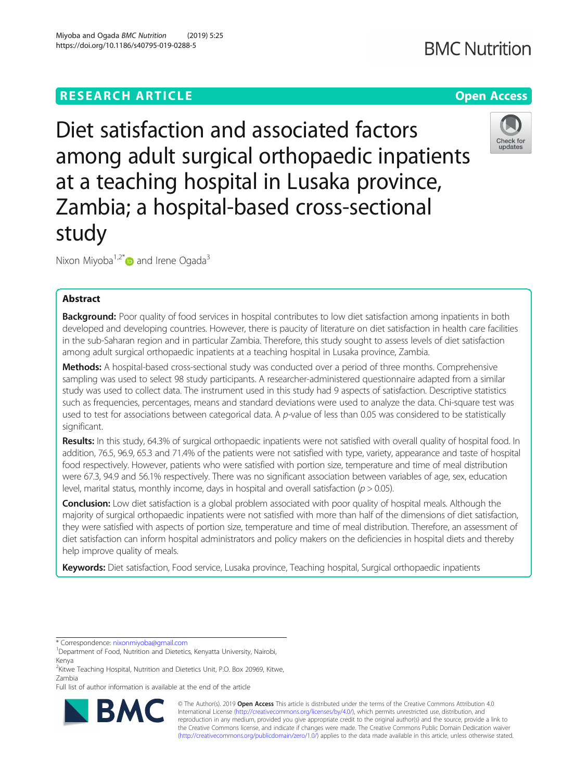# **RESEARCH ARTICLE Example 2018 12:30 THE OPEN Access**

Diet satisfaction and associated factors among adult surgical orthopaedic inpatients at a teaching hospital in Lusaka province, Zambia; a hospital-based cross-sectional study

Nixon Miyoba<sup>1,2\*</sup> $\bullet$  and Irene Ogada<sup>3</sup>

# Abstract

Background: Poor quality of food services in hospital contributes to low diet satisfaction among inpatients in both developed and developing countries. However, there is paucity of literature on diet satisfaction in health care facilities in the sub-Saharan region and in particular Zambia. Therefore, this study sought to assess levels of diet satisfaction among adult surgical orthopaedic inpatients at a teaching hospital in Lusaka province, Zambia.

Methods: A hospital-based cross-sectional study was conducted over a period of three months. Comprehensive sampling was used to select 98 study participants. A researcher-administered questionnaire adapted from a similar study was used to collect data. The instrument used in this study had 9 aspects of satisfaction. Descriptive statistics such as frequencies, percentages, means and standard deviations were used to analyze the data. Chi-square test was used to test for associations between categorical data. A p-value of less than 0.05 was considered to be statistically significant.

Results: In this study, 64.3% of surgical orthopaedic inpatients were not satisfied with overall quality of hospital food. In addition, 76.5, 96.9, 65.3 and 71.4% of the patients were not satisfied with type, variety, appearance and taste of hospital food respectively. However, patients who were satisfied with portion size, temperature and time of meal distribution were 67.3, 94.9 and 56.1% respectively. There was no significant association between variables of age, sex, education level, marital status, monthly income, days in hospital and overall satisfaction ( $p > 0.05$ ).

**Conclusion:** Low diet satisfaction is a global problem associated with poor quality of hospital meals. Although the majority of surgical orthopaedic inpatients were not satisfied with more than half of the dimensions of diet satisfaction, they were satisfied with aspects of portion size, temperature and time of meal distribution. Therefore, an assessment of diet satisfaction can inform hospital administrators and policy makers on the deficiencies in hospital diets and thereby help improve quality of meals.

Keywords: Diet satisfaction, Food service, Lusaka province, Teaching hospital, Surgical orthopaedic inpatients

RA

© The Author(s). 2019 **Open Access** This article is distributed under the terms of the Creative Commons Attribution 4.0 International License [\(http://creativecommons.org/licenses/by/4.0/](http://creativecommons.org/licenses/by/4.0/)), which permits unrestricted use, distribution, and reproduction in any medium, provided you give appropriate credit to the original author(s) and the source, provide a link to the Creative Commons license, and indicate if changes were made. The Creative Commons Public Domain Dedication waiver [\(http://creativecommons.org/publicdomain/zero/1.0/](http://creativecommons.org/publicdomain/zero/1.0/)) applies to the data made available in this article, unless otherwise stated.









<sup>\*</sup> Correspondence: [nixonmiyoba@gmail.com](mailto:nixonmiyoba@gmail.com) <sup>1</sup>

<sup>&</sup>lt;sup>1</sup>Department of Food, Nutrition and Dietetics, Kenyatta University, Nairobi, Kenya

<sup>&</sup>lt;sup>2</sup>Kitwe Teaching Hospital, Nutrition and Dietetics Unit, P.O. Box 20969, Kitwe, Zambia

Full list of author information is available at the end of the article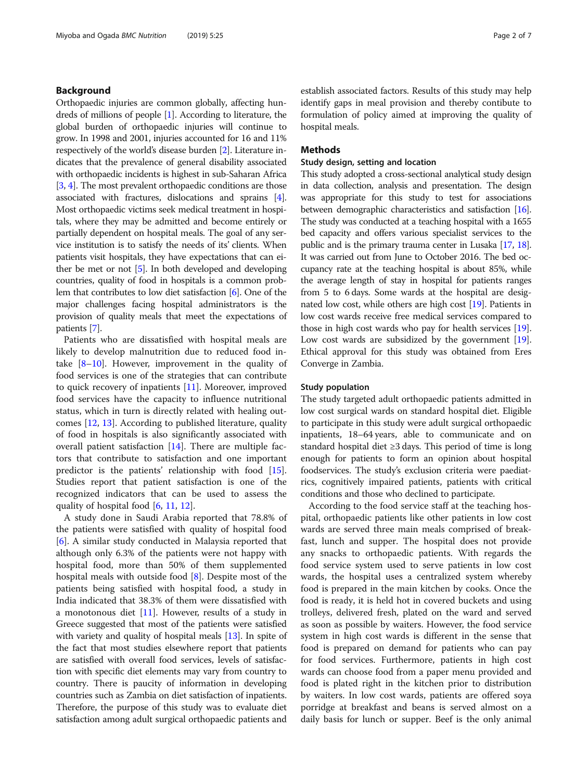# Background

Orthopaedic injuries are common globally, affecting hundreds of millions of people [\[1\]](#page-5-0). According to literature, the global burden of orthopaedic injuries will continue to grow. In 1998 and 2001, injuries accounted for 16 and 11% respectively of the world's disease burden [\[2](#page-5-0)]. Literature indicates that the prevalence of general disability associated with orthopaedic incidents is highest in sub-Saharan Africa [[3,](#page-5-0) [4\]](#page-5-0). The most prevalent orthopaedic conditions are those associated with fractures, dislocations and sprains [[4](#page-5-0)]. Most orthopaedic victims seek medical treatment in hospitals, where they may be admitted and become entirely or partially dependent on hospital meals. The goal of any service institution is to satisfy the needs of its' clients. When patients visit hospitals, they have expectations that can either be met or not [\[5](#page-5-0)]. In both developed and developing countries, quality of food in hospitals is a common problem that contributes to low diet satisfaction [\[6\]](#page-5-0). One of the major challenges facing hospital administrators is the provision of quality meals that meet the expectations of patients [\[7](#page-5-0)].

Patients who are dissatisfied with hospital meals are likely to develop malnutrition due to reduced food intake  $[8-10]$  $[8-10]$  $[8-10]$ . However, improvement in the quality of food services is one of the strategies that can contribute to quick recovery of inpatients [[11\]](#page-5-0). Moreover, improved food services have the capacity to influence nutritional status, which in turn is directly related with healing outcomes [[12](#page-6-0), [13](#page-6-0)]. According to published literature, quality of food in hospitals is also significantly associated with overall patient satisfaction [\[14](#page-6-0)]. There are multiple factors that contribute to satisfaction and one important predictor is the patients' relationship with food [\[15](#page-6-0)]. Studies report that patient satisfaction is one of the recognized indicators that can be used to assess the quality of hospital food [[6,](#page-5-0) [11,](#page-5-0) [12\]](#page-6-0).

A study done in Saudi Arabia reported that 78.8% of the patients were satisfied with quality of hospital food [[6\]](#page-5-0). A similar study conducted in Malaysia reported that although only 6.3% of the patients were not happy with hospital food, more than 50% of them supplemented hospital meals with outside food [\[8](#page-5-0)]. Despite most of the patients being satisfied with hospital food, a study in India indicated that 38.3% of them were dissatisfied with a monotonous diet  $[11]$  $[11]$ . However, results of a study in Greece suggested that most of the patients were satisfied with variety and quality of hospital meals [[13](#page-6-0)]. In spite of the fact that most studies elsewhere report that patients are satisfied with overall food services, levels of satisfaction with specific diet elements may vary from country to country. There is paucity of information in developing countries such as Zambia on diet satisfaction of inpatients. Therefore, the purpose of this study was to evaluate diet satisfaction among adult surgical orthopaedic patients and

establish associated factors. Results of this study may help identify gaps in meal provision and thereby contibute to formulation of policy aimed at improving the quality of hospital meals.

## Methods

# Study design, setting and location

This study adopted a cross-sectional analytical study design in data collection, analysis and presentation. The design was appropriate for this study to test for associations between demographic characteristics and satisfaction [\[16](#page-6-0)]. The study was conducted at a teaching hospital with a 1655 bed capacity and offers various specialist services to the public and is the primary trauma center in Lusaka [[17](#page-6-0), [18](#page-6-0)]. It was carried out from June to October 2016. The bed occupancy rate at the teaching hospital is about 85%, while the average length of stay in hospital for patients ranges from 5 to 6 days. Some wards at the hospital are designated low cost, while others are high cost [\[19\]](#page-6-0). Patients in low cost wards receive free medical services compared to those in high cost wards who pay for health services [[19](#page-6-0)]. Low cost wards are subsidized by the government [[19](#page-6-0)]. Ethical approval for this study was obtained from Eres Converge in Zambia.

# Study population

The study targeted adult orthopaedic patients admitted in low cost surgical wards on standard hospital diet. Eligible to participate in this study were adult surgical orthopaedic inpatients, 18–64 years, able to communicate and on standard hospital diet ≥3 days. This period of time is long enough for patients to form an opinion about hospital foodservices. The study's exclusion criteria were paediatrics, cognitively impaired patients, patients with critical conditions and those who declined to participate.

According to the food service staff at the teaching hospital, orthopaedic patients like other patients in low cost wards are served three main meals comprised of breakfast, lunch and supper. The hospital does not provide any snacks to orthopaedic patients. With regards the food service system used to serve patients in low cost wards, the hospital uses a centralized system whereby food is prepared in the main kitchen by cooks. Once the food is ready, it is held hot in covered buckets and using trolleys, delivered fresh, plated on the ward and served as soon as possible by waiters. However, the food service system in high cost wards is different in the sense that food is prepared on demand for patients who can pay for food services. Furthermore, patients in high cost wards can choose food from a paper menu provided and food is plated right in the kitchen prior to distribution by waiters. In low cost wards, patients are offered soya porridge at breakfast and beans is served almost on a daily basis for lunch or supper. Beef is the only animal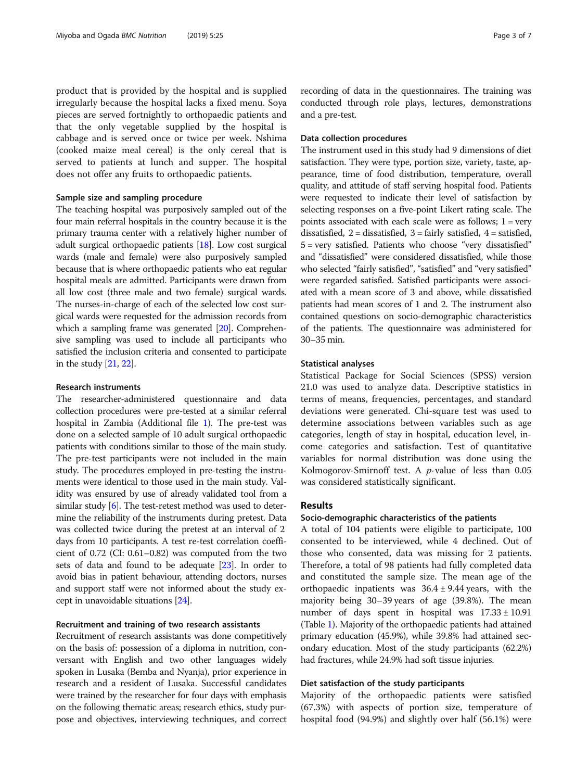product that is provided by the hospital and is supplied irregularly because the hospital lacks a fixed menu. Soya pieces are served fortnightly to orthopaedic patients and that the only vegetable supplied by the hospital is cabbage and is served once or twice per week. Nshima (cooked maize meal cereal) is the only cereal that is served to patients at lunch and supper. The hospital does not offer any fruits to orthopaedic patients.

# Sample size and sampling procedure

The teaching hospital was purposively sampled out of the four main referral hospitals in the country because it is the primary trauma center with a relatively higher number of adult surgical orthopaedic patients [\[18\]](#page-6-0). Low cost surgical wards (male and female) were also purposively sampled because that is where orthopaedic patients who eat regular hospital meals are admitted. Participants were drawn from all low cost (three male and two female) surgical wards. The nurses-in-charge of each of the selected low cost surgical wards were requested for the admission records from which a sampling frame was generated [[20](#page-6-0)]. Comprehensive sampling was used to include all participants who satisfied the inclusion criteria and consented to participate in the study [\[21,](#page-6-0) [22\]](#page-6-0).

# Research instruments

The researcher-administered questionnaire and data collection procedures were pre-tested at a similar referral hospital in Zambia (Additional file [1\)](#page-5-0). The pre-test was done on a selected sample of 10 adult surgical orthopaedic patients with conditions similar to those of the main study. The pre-test participants were not included in the main study. The procedures employed in pre-testing the instruments were identical to those used in the main study. Validity was ensured by use of already validated tool from a similar study [[6\]](#page-5-0). The test-retest method was used to determine the reliability of the instruments during pretest. Data was collected twice during the pretest at an interval of 2 days from 10 participants. A test re-test correlation coefficient of 0.72 (CI: 0.61–0.82) was computed from the two sets of data and found to be adequate [[23](#page-6-0)]. In order to avoid bias in patient behaviour, attending doctors, nurses and support staff were not informed about the study except in unavoidable situations [\[24](#page-6-0)].

# Recruitment and training of two research assistants

Recruitment of research assistants was done competitively on the basis of: possession of a diploma in nutrition, conversant with English and two other languages widely spoken in Lusaka (Bemba and Nyanja), prior experience in research and a resident of Lusaka. Successful candidates were trained by the researcher for four days with emphasis on the following thematic areas; research ethics, study purpose and objectives, interviewing techniques, and correct

recording of data in the questionnaires. The training was conducted through role plays, lectures, demonstrations and a pre-test.

# Data collection procedures

The instrument used in this study had 9 dimensions of diet satisfaction. They were type, portion size, variety, taste, appearance, time of food distribution, temperature, overall quality, and attitude of staff serving hospital food. Patients were requested to indicate their level of satisfaction by selecting responses on a five-point Likert rating scale. The points associated with each scale were as follows;  $1 = \text{very}$ dissatisfied,  $2 =$  dissatisfied,  $3 =$  fairly satisfied,  $4 =$  satisfied, 5 = very satisfied. Patients who choose "very dissatisfied" and "dissatisfied" were considered dissatisfied, while those who selected "fairly satisfied", "satisfied" and "very satisfied" were regarded satisfied. Satisfied participants were associated with a mean score of 3 and above, while dissatisfied patients had mean scores of 1 and 2. The instrument also contained questions on socio-demographic characteristics of the patients. The questionnaire was administered for 30–35 min.

### Statistical analyses

Statistical Package for Social Sciences (SPSS) version 21.0 was used to analyze data. Descriptive statistics in terms of means, frequencies, percentages, and standard deviations were generated. Chi-square test was used to determine associations between variables such as age categories, length of stay in hospital, education level, income categories and satisfaction. Test of quantitative variables for normal distribution was done using the Kolmogorov-Smirnoff test. A  $p$ -value of less than 0.05 was considered statistically significant.

### Results

### Socio-demographic characteristics of the patients

A total of 104 patients were eligible to participate, 100 consented to be interviewed, while 4 declined. Out of those who consented, data was missing for 2 patients. Therefore, a total of 98 patients had fully completed data and constituted the sample size. The mean age of the orthopaedic inpatients was  $36.4 \pm 9.44$  years, with the majority being 30–39 years of age (39.8%). The mean number of days spent in hospital was  $17.33 \pm 10.91$ (Table [1\)](#page-3-0). Majority of the orthopaedic patients had attained primary education (45.9%), while 39.8% had attained secondary education. Most of the study participants (62.2%) had fractures, while 24.9% had soft tissue injuries.

### Diet satisfaction of the study participants

Majority of the orthopaedic patients were satisfied (67.3%) with aspects of portion size, temperature of hospital food (94.9%) and slightly over half (56.1%) were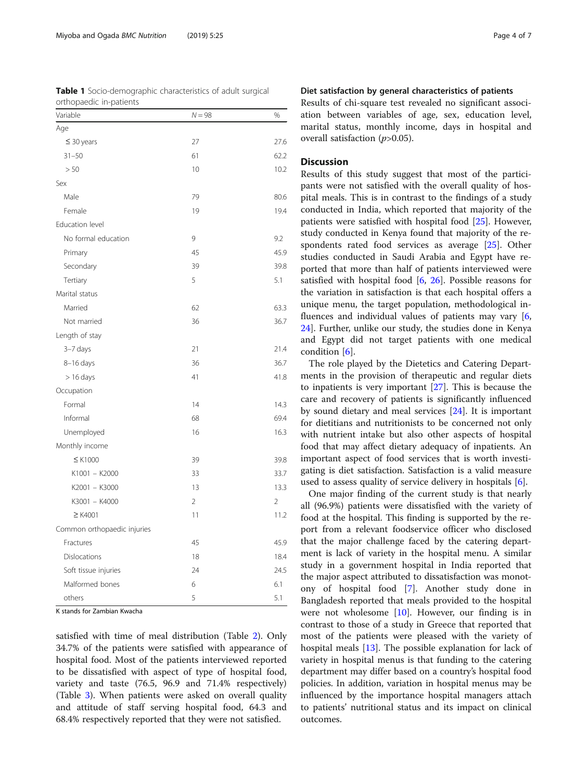<span id="page-3-0"></span>Table 1 Socio-demographic characteristics of adult surgical

| Variable                    | $N = 98$       | $\frac{0}{0}$  |
|-----------------------------|----------------|----------------|
| Age                         |                |                |
| $\leq$ 30 years             | 27             | 27.6           |
| $31 - 50$                   | 61             | 62.2           |
| > 50                        | 10             | 10.2           |
| Sex                         |                |                |
| Male                        | 79             | 80.6           |
| Female                      | 19             | 19.4           |
| Education level             |                |                |
| No formal education         | 9              | 9.2            |
| Primary                     | 45             | 45.9           |
| Secondary                   | 39             | 39.8           |
| Tertiary                    | 5              | 5.1            |
| Marital status              |                |                |
| Married                     | 62             | 63.3           |
| Not married                 | 36             | 36.7           |
| Length of stay              |                |                |
| 3-7 days                    | 21             | 21.4           |
| 8-16 days                   | 36             | 36.7           |
| $> 16$ days                 | 41             | 41.8           |
| Occupation                  |                |                |
| Formal                      | 14             | 14.3           |
| Informal                    | 68             | 69.4           |
| Unemployed                  | 16             | 16.3           |
| Monthly income              |                |                |
| $\leq$ K1000                | 39             | 39.8           |
| K1001 - K2000               | 33             | 33.7           |
| K2001 - K3000               | 13             | 13.3           |
| K3001 - K4000               | $\overline{2}$ | $\overline{2}$ |
| $\geq$ K4001                | 11             | 11.2           |
| Common orthopaedic injuries |                |                |
| Fractures                   | 45             | 45.9           |
| Dislocations                | 18             | 18.4           |
| Soft tissue injuries        | 24             | 24.5           |
| Malformed bones             | 6              | 6.1            |
| others                      | 5              | 5.1            |

K stands for Zambian Kwacha

satisfied with time of meal distribution (Table [2\)](#page-4-0). Only 34.7% of the patients were satisfied with appearance of hospital food. Most of the patients interviewed reported to be dissatisfied with aspect of type of hospital food, variety and taste (76.5, 96.9 and 71.4% respectively) (Table [3](#page-4-0)). When patients were asked on overall quality and attitude of staff serving hospital food, 64.3 and 68.4% respectively reported that they were not satisfied.

# Diet satisfaction by general characteristics of patients

Results of chi-square test revealed no significant association between variables of age, sex, education level, marital status, monthly income, days in hospital and overall satisfaction (p>0.05).

# **Discussion**

Results of this study suggest that most of the participants were not satisfied with the overall quality of hospital meals. This is in contrast to the findings of a study conducted in India, which reported that majority of the patients were satisfied with hospital food [[25\]](#page-6-0). However, study conducted in Kenya found that majority of the respondents rated food services as average [\[25](#page-6-0)]. Other studies conducted in Saudi Arabia and Egypt have reported that more than half of patients interviewed were satisfied with hospital food [\[6,](#page-5-0) [26](#page-6-0)]. Possible reasons for the variation in satisfaction is that each hospital offers a unique menu, the target population, methodological influences and individual values of patients may vary  $[6, 6]$  $[6, 6]$ [24\]](#page-6-0). Further, unlike our study, the studies done in Kenya and Egypt did not target patients with one medical condition [[6\]](#page-5-0).

The role played by the Dietetics and Catering Departments in the provision of therapeutic and regular diets to inpatients is very important [\[27](#page-6-0)]. This is because the care and recovery of patients is significantly influenced by sound dietary and meal services [[24](#page-6-0)]. It is important for dietitians and nutritionists to be concerned not only with nutrient intake but also other aspects of hospital food that may affect dietary adequacy of inpatients. An important aspect of food services that is worth investigating is diet satisfaction. Satisfaction is a valid measure used to assess quality of service delivery in hospitals [[6](#page-5-0)].

One major finding of the current study is that nearly all (96.9%) patients were dissatisfied with the variety of food at the hospital. This finding is supported by the report from a relevant foodservice officer who disclosed that the major challenge faced by the catering department is lack of variety in the hospital menu. A similar study in a government hospital in India reported that the major aspect attributed to dissatisfaction was monotony of hospital food [[7\]](#page-5-0). Another study done in Bangladesh reported that meals provided to the hospital were not wholesome [\[10](#page-5-0)]. However, our finding is in contrast to those of a study in Greece that reported that most of the patients were pleased with the variety of hospital meals [\[13](#page-6-0)]. The possible explanation for lack of variety in hospital menus is that funding to the catering department may differ based on a country's hospital food policies. In addition, variation in hospital menus may be influenced by the importance hospital managers attach to patients' nutritional status and its impact on clinical outcomes.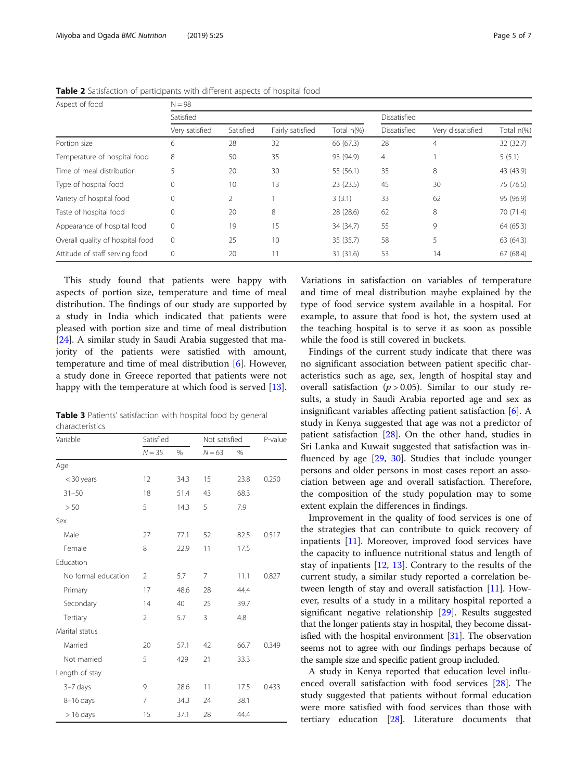| Aspect of food                   | $N = 98$       |           |                  |            |                |                   |            |
|----------------------------------|----------------|-----------|------------------|------------|----------------|-------------------|------------|
|                                  | Satisfied      |           |                  |            | Dissatisfied   |                   |            |
|                                  | Very satisfied | Satisfied | Fairly satisfied | Total n(%) | Dissatisfied   | Very dissatisfied | Total n(%) |
| Portion size                     | 6              | 28        | 32               | 66 (67.3)  | 28             | 4                 | 32 (32.7)  |
| Temperature of hospital food     | 8              | 50        | 35               | 93 (94.9)  | $\overline{4}$ |                   | 5(5.1)     |
| Time of meal distribution        | 5              | 20        | 30               | 55 (56.1)  | 35             | 8                 | 43 (43.9)  |
| Type of hospital food            | 0              | 10        | 13               | 23(23.5)   | 45             | 30                | 75 (76.5)  |
| Variety of hospital food         | $\mathbf 0$    | 2         |                  | 3(3.1)     | 33             | 62                | 95 (96.9)  |
| Taste of hospital food           | $\mathbf 0$    | 20        | 8                | 28 (28.6)  | 62             | 8                 | 70 (71.4)  |
| Appearance of hospital food      | $\mathbf 0$    | 19        | 15               | 34 (34.7)  | 55             | 9                 | 64 (65.3)  |
| Overall quality of hospital food | $\mathbf{0}$   | 25        | 10               | 35 (35.7)  | 58             | 5                 | 63 (64.3)  |
| Attitude of staff serving food   | $\mathbf{0}$   | 20        | 11               | 31 (31.6)  | 53             | 14                | 67(68.4)   |

<span id="page-4-0"></span>Table 2 Satisfaction of participants with different aspects of hospital food

This study found that patients were happy with aspects of portion size, temperature and time of meal distribution. The findings of our study are supported by a study in India which indicated that patients were pleased with portion size and time of meal distribution [[24\]](#page-6-0). A similar study in Saudi Arabia suggested that majority of the patients were satisfied with amount, temperature and time of meal distribution [[6\]](#page-5-0). However, a study done in Greece reported that patients were not happy with the temperature at which food is served [\[13](#page-6-0)].

|                 | Table 3 Patients' satisfaction with hospital food by general |  |  |  |
|-----------------|--------------------------------------------------------------|--|--|--|
| characteristics |                                                              |  |  |  |

| Variable            | Satisfied      |      |                | Not satisfied |       |  |
|---------------------|----------------|------|----------------|---------------|-------|--|
|                     | $N = 35$       | $\%$ | $N = 63$       | %             |       |  |
| Age                 |                |      |                |               |       |  |
| < 30 years          | 12             | 34.3 | 15             | 23.8          | 0.250 |  |
| $31 - 50$           | 18             | 51.4 | 43             | 68.3          |       |  |
| > 50                | 5              | 14.3 | 5              | 7.9           |       |  |
| Sex                 |                |      |                |               |       |  |
| Male                | 27             | 77.1 | 52             | 82.5          | 0.517 |  |
| Female              | 8              | 22.9 | 11             | 17.5          |       |  |
| Education           |                |      |                |               |       |  |
| No formal education | $\mathcal{P}$  | 5.7  | $\overline{7}$ | 11.1          | 0.827 |  |
| Primary             | 17             | 48.6 | 28             | 44.4          |       |  |
| Secondary           | 14             | 40   | 25             | 39.7          |       |  |
| Tertiary            | $\overline{2}$ | 5.7  | 3              | 4.8           |       |  |
| Marital status      |                |      |                |               |       |  |
| Married             | 20             | 57.1 | 42             | 66.7          | 0.349 |  |
| Not married         | 5              | 429  | 21             | 33.3          |       |  |
| Length of stay      |                |      |                |               |       |  |
| 3-7 days            | 9              | 28.6 | 11             | 17.5          | 0.433 |  |
| $8-16$ days         | 7              | 34.3 | 24             | 38.1          |       |  |
| $> 16$ days         | 15             | 37.1 | 28             | 44.4          |       |  |

Variations in satisfaction on variables of temperature and time of meal distribution maybe explained by the type of food service system available in a hospital. For example, to assure that food is hot, the system used at the teaching hospital is to serve it as soon as possible while the food is still covered in buckets.

Findings of the current study indicate that there was no significant association between patient specific characteristics such as age, sex, length of hospital stay and overall satisfaction ( $p > 0.05$ ). Similar to our study results, a study in Saudi Arabia reported age and sex as insignificant variables affecting patient satisfaction [\[6](#page-5-0)]. A study in Kenya suggested that age was not a predictor of patient satisfaction [[28\]](#page-6-0). On the other hand, studies in Sri Lanka and Kuwait suggested that satisfaction was influenced by age [[29](#page-6-0), [30](#page-6-0)]. Studies that include younger persons and older persons in most cases report an association between age and overall satisfaction. Therefore, the composition of the study population may to some extent explain the differences in findings.

Improvement in the quality of food services is one of the strategies that can contribute to quick recovery of inpatients [[11](#page-5-0)]. Moreover, improved food services have the capacity to influence nutritional status and length of stay of inpatients [\[12,](#page-6-0) [13](#page-6-0)]. Contrary to the results of the current study, a similar study reported a correlation between length of stay and overall satisfaction [\[11](#page-5-0)]. However, results of a study in a military hospital reported a significant negative relationship [\[29](#page-6-0)]. Results suggested that the longer patients stay in hospital, they become dissatisfied with the hospital environment [\[31](#page-6-0)]. The observation seems not to agree with our findings perhaps because of the sample size and specific patient group included.

A study in Kenya reported that education level influenced overall satisfaction with food services [\[28](#page-6-0)]. The study suggested that patients without formal education were more satisfied with food services than those with tertiary education [\[28](#page-6-0)]. Literature documents that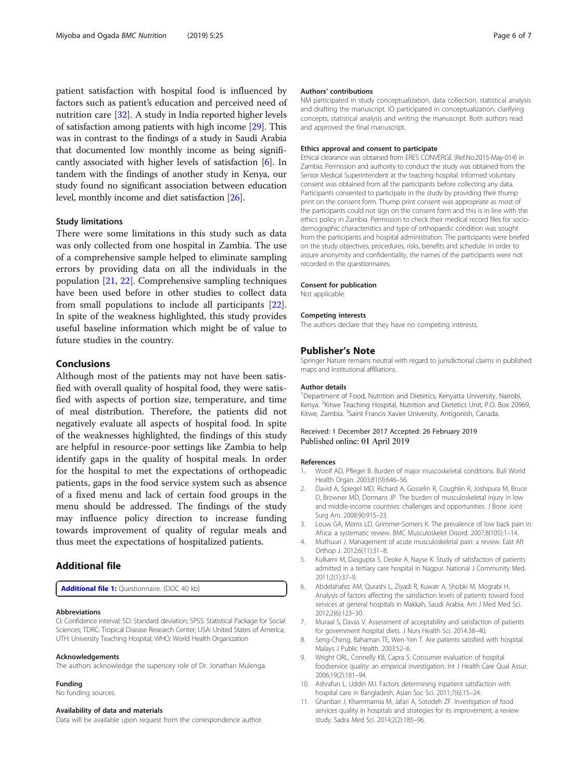<span id="page-5-0"></span>patient satisfaction with hospital food is influenced by factors such as patient's education and perceived need of nutrition care [[32\]](#page-6-0). A study in India reported higher levels of satisfaction among patients with high income [\[29\]](#page-6-0). This was in contrast to the findings of a study in Saudi Arabia that documented low monthly income as being significantly associated with higher levels of satisfaction [6]. In tandem with the findings of another study in Kenya, our study found no significant association between education level, monthly income and diet satisfaction [\[26\]](#page-6-0).

### Study limitations

There were some limitations in this study such as data was only collected from one hospital in Zambia. The use of a comprehensive sample helped to eliminate sampling errors by providing data on all the individuals in the population [[21,](#page-6-0) [22\]](#page-6-0). Comprehensive sampling techniques have been used before in other studies to collect data from small populations to include all participants [\[22](#page-6-0)]. In spite of the weakness highlighted, this study provides useful baseline information which might be of value to future studies in the country.

# Conclusions

Although most of the patients may not have been satisfied with overall quality of hospital food, they were satisfied with aspects of portion size, temperature, and time of meal distribution. Therefore, the patients did not negatively evaluate all aspects of hospital food. In spite of the weaknesses highlighted, the findings of this study are helpful in resource-poor settings like Zambia to help identify gaps in the quality of hospital meals. In order for the hospital to met the expectations of orthopeadic patients, gaps in the food service system such as absence of a fixed menu and lack of certain food groups in the menu should be addressed. The findings of the study may influence policy direction to increase funding towards improvement of quality of regular meals and thus meet the expectations of hospitalized patients.

# Additional file

[Additional file 1:](https://doi.org/10.1186/s40795-019-0288-5) Questionnaire. (DOC 40 kb)

#### Abbreviations

CI: Confidence interval; SD: Standard deviation; SPSS: Statistical Package for Social Sciences; TDRC: Tropical Disease Research Center; USA: United States of America; UTH: University Teaching Hospital; WHO: World Health Organization

#### Acknowledgements

The authors acknowledge the supersory role of Dr. Jonathan Mulenga.

### Funding

No funding sources.

### Availability of data and materials

Data will be available upon request from the correspondence author.

### Authors' contributions

NM participated in study conceptualization, data collection, statistical analysis and drafting the manuscript. IO participated in conceptualization, clarifying concepts, statistical analysis and writing the manuscript. Both authors read and approved the final manuscript.

#### Ethics approval and consent to participate

Ethical clearance was obtained from ERES CONVERGE (Ref.No.2015-May-014) in Zambia. Permission and authority to conduct the study was obtained from the Senior Medical Superintendent at the teaching hospital. Informed voluntary consent was obtained from all the participants before collecting any data. Participants consented to participate in the study by providing their thump print on the consent form. Thump print consent was appropriate as most of the participants could not sign on the consent form and this is in line with the ethics policy in Zambia. Permission to check their medical record files for sociodemographic characteristics and type of orthopaedic condition was sought from the participants and hospital administration. The participants were briefed on the study objectives, procedures, risks, benefits and schedule. In order to assure anonymity and confidentiality, the names of the participants were not recorded in the questionnaires.

#### Consent for publication

Not applicable.

#### Competing interests

The authors declare that they have no competing interests.

### Publisher's Note

Springer Nature remains neutral with regard to jurisdictional claims in published maps and institutional affiliations.

#### Author details

<sup>1</sup>Department of Food, Nutrition and Dietetics, Kenyatta University, Nairobi, Kenya. <sup>2</sup> Kitwe Teaching Hospital, Nutrition and Dietetics Unit, P.O. Box 20969 Kitwe, Zambia. <sup>3</sup>Saint Francis Xavier University, Antigonish, Canada.

### Received: 1 December 2017 Accepted: 26 February 2019 Published online: 01 April 2019

#### References

- 1. Woolf AD, Pfleger B. Burden of major muscoskeletal conditions. Bull World Health Organ. 2003;81(9):646–56.
- 2. David A, Spiegel MD, Richard A, Gosselin R, Coughlin R, Joshipura M, Bruce D, Browner MD, Dormans JP. The burden of musculoskeletal injury in low and middle-income countries: challenges and opportunities. J Bone Joint Surg Am. 2008;90:915–23.
- 3. Louw GA, Morris LD, Grimmer-Somers K. The prevalence of low back pain in Africa: a systematic review. BMC Musculoskelet Disord. 2007;8(105):1–14.
- 4. Muthuuri J. Management of acute musculoskeletal pain: a review. East Afr Orthop J. 2012;6(11):31–8.
- 5. Kulkarni M, Dasgupta S, Deoke A, Nayse K. Study of satisfaction of patients admitted in a tertiary care hospital in Nagpur. National J Community Med. 2011;2(1):37–9.
- 6. Abdelahafez AM, Qurashi L, Ziyadi R, Kuwair A, Shobki M, Mograbi H. Analysis of factors affecting the satisfaction levels of patients toward food services at general hospitals in Makkah, Saudi Arabia. Am J Med Med Sci. 2012;2(6):123–30.
- 7. Muraal S, Davas V. Assessment of acceptability and satisfaction of patients for government hospital diets. J Nurs Health Sci. 2014:38–40.
- Seng-Cheng, Bahaman TE, Wen-Yen T. Are patients satisfied with hospital. Malays J Public Health. 2003:52–6.
- 9. Wright ORL, Connelly KB, Capra S. Consumer evaluation of hospital foodservice quality: an empirical investigation. Int J Health Care Qual Assur. 2006;19(2):181–94.
- 10. Ashrafun L, Uddin MJ. Factors determining inpatient satisfaction with hospital care in Bangladesh. Asian Soc Sci. 2011;7(6):15–24.
- 11. Ghanbari J, Khammarnia M, Jafari A, Sotodeh ZF. Investigation of food services quality in hospitals and strategies for its improvement, a review study. Sadra Med Sci. 2014;2(2):185–96.